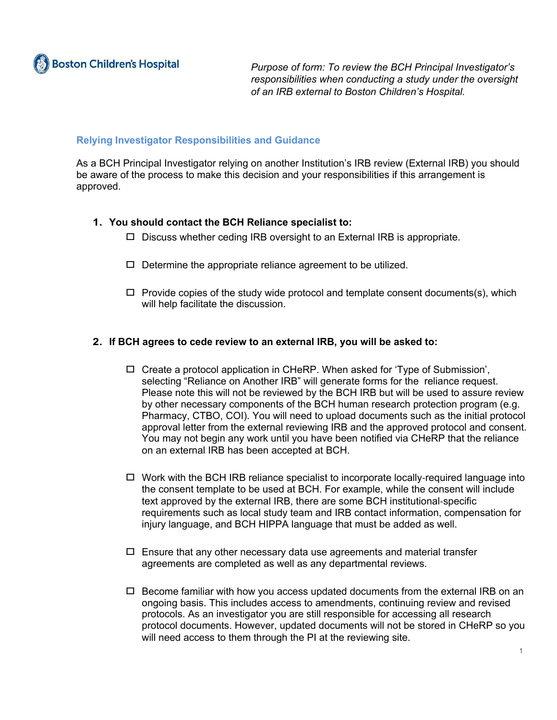*Purpose of form: To review the BCH Principal Investigator's responsibilities when conducting a study under the oversight of an IRB external to Boston Children's Hospital.*

## **Relying Investigator Responsibilities and Guidance**

As a BCH Principal Investigator relying on another Institution's IRB review (External IRB) you should be aware of the process to make this decision and your responsibilities if this arrangement is approved.

## **1. You should contact the BCH Reliance specialist to:**

- **□** Discuss whether ceding IRB oversight to an External IRB is appropriate.
- **□** Determine the appropriate reliance agreement to be utilized.
- **□** Provide copies of the study wide protocol and template consent documents(s), which will help facilitate the discussion.

## **2. If BCH agrees to cede review to an external IRB, you will be asked to:**

- **□** Create a protocol application in CHeRP. When asked for 'Type of Submission', selecting "Reliance on Another IRB" will generate forms for the reliance request. Please note this will not be reviewed by the BCH IRB but will be used to assure review by other necessary components of the BCH human research protection program (e.g. Pharmacy, CTBO, COI). You will need to upload documents such as the initial protocol approval letter from the external reviewing IRB and the approved protocol and consent. You may not begin any work until you have been notified via CHeRP that the reliance on an external IRB has been accepted at BCH.
- **□** Work with the BCH IRB reliance specialist to incorporate locally-required language into the consent template to be used at BCH. For example, while the consent will include text approved by the external IRB, there are some BCH institutional-specific requirements such as local study team and IRB contact information, compensation for injury language, and BCH HIPPA language that must be added as well.
- **□** Ensure that any other necessary data use agreements and material transfer agreements are completed as well as any departmental reviews.
- **□** Become familiar with how you access updated documents from the external IRB on an ongoing basis. This includes access to amendments, continuing review and revised protocols. As an investigator you are still responsible for accessing all research protocol documents. However, updated documents will not be stored in CHeRP so you will need access to them through the PI at the reviewing site.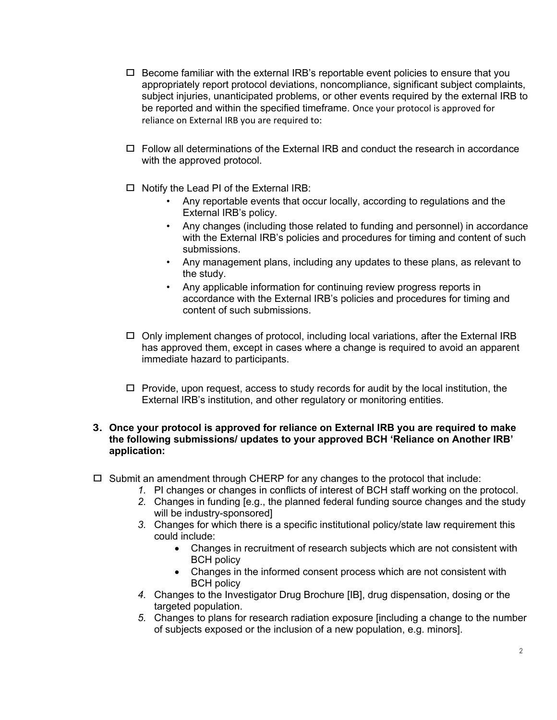- **□** Become familiar with the external IRB's reportable event policies to ensure that you appropriately report protocol deviations, noncompliance, significant subject complaints, subject injuries, unanticipated problems, or other events required by the external IRB to be reported and within the specified timeframe. Once your protocol is approved for reliance on External IRB you are required to:
- **□** Follow all determinations of the External IRB and conduct the research in accordance with the approved protocol.
- **□** Notify the Lead PI of the External IRB:
	- Any reportable events that occur locally, according to regulations and the External IRB's policy.
	- Any changes (including those related to funding and personnel) in accordance with the External IRB's policies and procedures for timing and content of such submissions.
	- Any management plans, including any updates to these plans, as relevant to the study.
	- Any applicable information for continuing review progress reports in accordance with the External IRB's policies and procedures for timing and content of such submissions.
- **□** Only implement changes of protocol, including local variations, after the External IRB has approved them, except in cases where a change is required to avoid an apparent immediate hazard to participants.
- **□** Provide, upon request, access to study records for audit by the local institution, the External IRB's institution, and other regulatory or monitoring entities.

## **3. Once your protocol is approved for reliance on External IRB you are required to make the following submissions/ updates to your approved BCH 'Reliance on Another IRB' application:**

- **□** Submit an amendment through CHERP for any changes to the protocol that include:
	- *1.* PI changes or changes in conflicts of interest of BCH staff working on the protocol.
	- *2.* Changes in funding [e.g., the planned federal funding source changes and the study will be industry-sponsored]
	- *3.* Changes for which there is a specific institutional policy/state law requirement this could include:
		- Changes in recruitment of research subjects which are not consistent with BCH policy
		- Changes in the informed consent process which are not consistent with BCH policy
	- *4.* Changes to the Investigator Drug Brochure [IB], drug dispensation, dosing or the targeted population.
	- *5.* Changes to plans for research radiation exposure [including a change to the number of subjects exposed or the inclusion of a new population, e.g. minors].